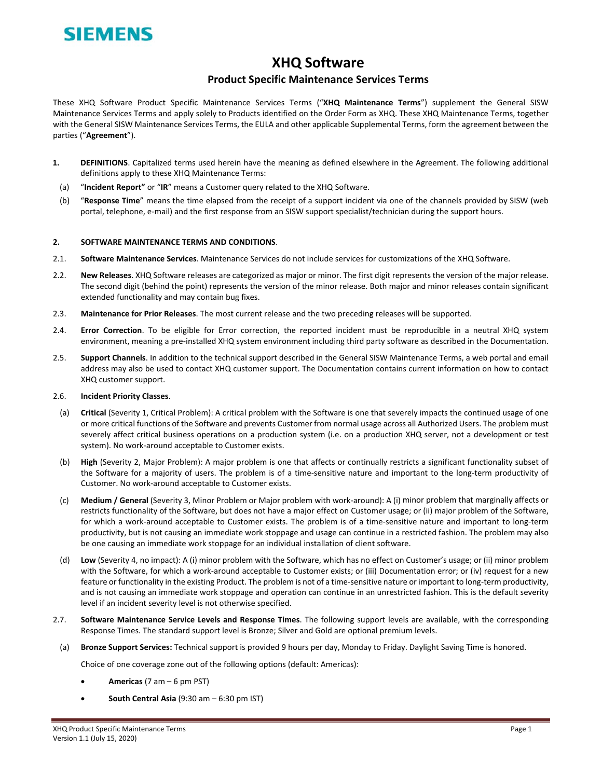

## **XHQ Software**

## **Product Specific Maintenance Services Terms**

These XHQ Software Product Specific Maintenance Services Terms ("**XHQ Maintenance Terms**") supplement the General SISW Maintenance Services Terms and apply solely to Products identified on the Order Form as XHQ. These XHQ Maintenance Terms, together with the General SISW Maintenance Services Terms, the EULA and other applicable Supplemental Terms, form the agreement between the parties ("**Agreement**").

- **1. DEFINITIONS**. Capitalized terms used herein have the meaning as defined elsewhere in the Agreement. The following additional definitions apply to these XHQ Maintenance Terms:
- (a) "**Incident Report"** or "**IR**" means a Customer query related to the XHQ Software.
- (b) "**Response Time**" means the time elapsed from the receipt of a support incident via one of the channels provided by SISW (web portal, telephone, e-mail) and the first response from an SISW support specialist/technician during the support hours.

## **2. SOFTWARE MAINTENANCE TERMS AND CONDITIONS**.

- 2.1. **Software Maintenance Services**. Maintenance Services do not include services for customizations of the XHQ Software.
- 2.2. **New Releases**. XHQ Software releases are categorized as major or minor. The first digit represents the version of the major release. The second digit (behind the point) represents the version of the minor release. Both major and minor releases contain significant extended functionality and may contain bug fixes.
- 2.3. **Maintenance for Prior Releases**. The most current release and the two preceding releases will be supported.
- 2.4. **Error Correction**. To be eligible for Error correction, the reported incident must be reproducible in a neutral XHQ system environment, meaning a pre‐installed XHQ system environment including third party software as described in the Documentation.
- 2.5. **Support Channels**. In addition to the technical support described in the General SISW Maintenance Terms, a web portal and email address may also be used to contact XHQ customer support. The Documentation contains current information on how to contact XHQ customer support.

## 2.6. **Incident Priority Classes**.

- (a) **Critical** (Severity 1, Critical Problem): A critical problem with the Software is one that severely impacts the continued usage of one or more critical functions of the Software and prevents Customer from normal usage across all Authorized Users. The problem must severely affect critical business operations on a production system (i.e. on a production XHQ server, not a development or test system). No work‐around acceptable to Customer exists.
- (b) **High** (Severity 2, Major Problem): A major problem is one that affects or continually restricts a significant functionality subset of the Software for a majority of users. The problem is of a time‐sensitive nature and important to the long‐term productivity of Customer. No work‐around acceptable to Customer exists.
- (c) **Medium / General** (Severity 3, Minor Problem or Major problem with work‐around): A (i) minor problem that marginally affects or restricts functionality of the Software, but does not have a major effect on Customer usage; or (ii) major problem of the Software, for which a work-around acceptable to Customer exists. The problem is of a time-sensitive nature and important to long-term productivity, but is not causing an immediate work stoppage and usage can continue in a restricted fashion. The problem may also be one causing an immediate work stoppage for an individual installation of client software.
- (d) **Low** (Severity 4, no impact): A (i) minor problem with the Software, which has no effect on Customer's usage; or (ii) minor problem with the Software, for which a work-around acceptable to Customer exists; or (iii) Documentation error; or (iv) request for a new feature or functionality in the existing Product. The problem is not of a time-sensitive nature or important to long-term productivity, and is not causing an immediate work stoppage and operation can continue in an unrestricted fashion. This is the default severity level if an incident severity level is not otherwise specified.
- 2.7. **Software Maintenance Service Levels and Response Times**. The following support levels are available, with the corresponding Response Times. The standard support level is Bronze; Silver and Gold are optional premium levels.
- (a) **Bronze Support Services:** Technical support is provided 9 hours per day, Monday to Friday. Daylight Saving Time is honored.

Choice of one coverage zone out of the following options (default: Americas):

- **Americas** (7 am 6 pm PST)
- **South Central Asia** (9:30 am 6:30 pm IST)